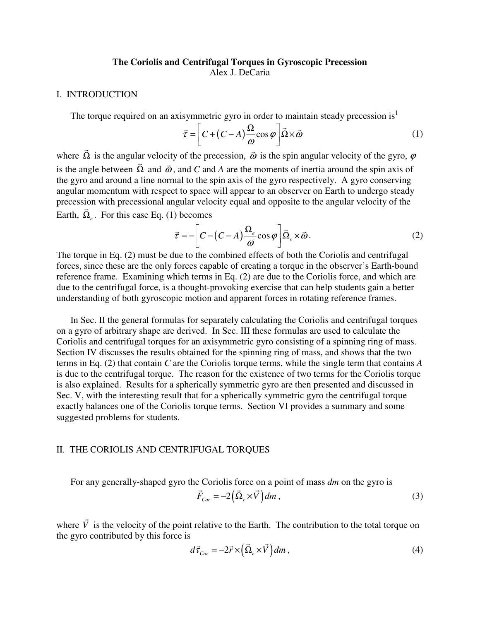# **The Coriolis and Centrifugal Torques in Gyroscopic Precession**  Alex J. DeCaria

#### I. INTRODUCTION

The torque required on an axisymmetric gyro in order to maintain steady precession is<sup>1</sup>

$$
\vec{\tau} = \left[ C + (C - A) \frac{\Omega}{\omega} \cos \varphi \right] \vec{\Omega} \times \vec{\omega}
$$
 (1)

where  $\vec{\Omega}$  is the angular velocity of the precession,  $\vec{\omega}$  is the spin angular velocity of the gyro,  $\varphi$ is the angle between  $\vec{\Omega}$  and  $\vec{\omega}$ , and *C* and *A* are the moments of inertia around the spin axis of the gyro and around a line normal to the spin axis of the gyro respectively. A gyro conserving angular momentum with respect to space will appear to an observer on Earth to undergo steady precession with precessional angular velocity equal and opposite to the angular velocity of the Earth,  $\vec{\Omega}_e$ . For this case Eq. (1) becomes

$$
\vec{\tau} = -\left[C - (C - A)\frac{\Omega_e}{\omega}\cos\varphi\right]\vec{\Omega}_e \times \vec{\omega}.
$$
 (2)

The torque in Eq. (2) must be due to the combined effects of both the Coriolis and centrifugal forces, since these are the only forces capable of creating a torque in the observer's Earth-bound reference frame. Examining which terms in Eq. (2) are due to the Coriolis force, and which are due to the centrifugal force, is a thought-provoking exercise that can help students gain a better understanding of both gyroscopic motion and apparent forces in rotating reference frames.

In Sec. II the general formulas for separately calculating the Coriolis and centrifugal torques on a gyro of arbitrary shape are derived. In Sec. III these formulas are used to calculate the Coriolis and centrifugal torques for an axisymmetric gyro consisting of a spinning ring of mass. Section IV discusses the results obtained for the spinning ring of mass, and shows that the two terms in Eq. (2) that contain *C* are the Coriolis torque terms, while the single term that contains *A* is due to the centrifugal torque. The reason for the existence of two terms for the Coriolis torque is also explained. Results for a spherically symmetric gyro are then presented and discussed in Sec. V, with the interesting result that for a spherically symmetric gyro the centrifugal torque exactly balances one of the Coriolis torque terms. Section VI provides a summary and some suggested problems for students.

#### II. THE CORIOLIS AND CENTRIFUGAL TORQUES

For any generally-shaped gyro the Coriolis force on a point of mass *dm* on the gyro is  $\vec{F}_{Cor} = -2(\vec{\Omega}_e \times \vec{V}) dm$  $,$  (3)

where  $\vec{V}$  is the velocity of the point relative to the Earth. The contribution to the total torque on the gyro contributed by this force is

$$
d\vec{\tau}_{Cor} = -2\vec{r} \times (\vec{\Omega}_e \times \vec{V}) dm , \qquad (4)
$$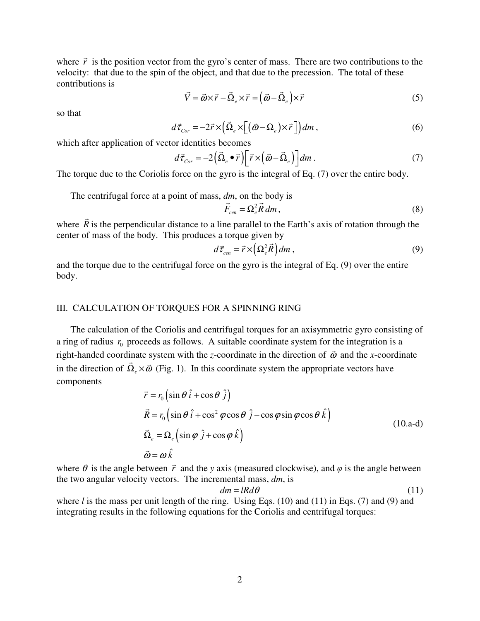where  $\vec{r}$  is the position vector from the gyro's center of mass. There are two contributions to the velocity: that due to the spin of the object, and that due to the precession. The total of these contributions is

$$
\vec{V} = \vec{\omega} \times \vec{r} - \vec{\Omega}_e \times \vec{r} = (\vec{\omega} - \vec{\Omega}_e) \times \vec{r}
$$
 (5)

so that

$$
d\vec{\tau}_{Cor} = -2\vec{r} \times (\vec{\Omega}_e \times [(\vec{\omega} - \Omega_e) \times \vec{r}]) dm , \qquad (6)
$$

which after application of vector identities becomes

$$
d\vec{\tau}_{Cor} = -2(\vec{\Omega}_e \bullet \vec{r}) \left[ \vec{r} \times (\vec{\omega} - \vec{\Omega}_e) \right] dm \,. \tag{7}
$$

The torque due to the Coriolis force on the gyro is the integral of Eq. (7) over the entire body.

The centrifugal force at a point of mass, *dm*, on the body is

$$
\vec{F}_{cen} = \Omega_e^2 \vec{R} \, dm \,, \tag{8}
$$

where  $\vec{R}$  is the perpendicular distance to a line parallel to the Earth's axis of rotation through the center of mass of the body. This produces a torque given by

$$
d\vec{\tau}_{cen} = \vec{r} \times \left(\Omega_e^2 \vec{R}\right) dm\,,\tag{9}
$$

and the torque due to the centrifugal force on the gyro is the integral of Eq. (9) over the entire body.

## III. CALCULATION OF TORQUES FOR A SPINNING RING

The calculation of the Coriolis and centrifugal torques for an axisymmetric gyro consisting of a ring of radius  $r_0$  proceeds as follows. A suitable coordinate system for the integration is a right-handed coordinate system with the *z*-coordinate in the direction of  $\vec{\omega}$  and the *x*-coordinate in the direction of  $\vec{\Omega}_e \times \vec{\omega}$  (Fig. 1). In this coordinate system the appropriate vectors have components

$$
\vec{r} = r_0 \left( \sin \theta \hat{i} + \cos \theta \hat{j} \right)
$$
  
\n
$$
\vec{R} = r_0 \left( \sin \theta \hat{i} + \cos^2 \varphi \cos \theta \hat{j} - \cos \varphi \sin \varphi \cos \theta \hat{k} \right)
$$
  
\n
$$
\vec{\Omega}_e = \Omega_e \left( \sin \varphi \hat{j} + \cos \varphi \hat{k} \right)
$$
  
\n
$$
\vec{\omega} = \omega \hat{k}
$$
\n(10.a-d)

where  $\theta$  is the angle between  $\vec{r}$  and the *y* axis (measured clockwise), and  $\varphi$  is the angle between the two angular velocity vectors. The incremental mass, *dm*, is

$$
dm = IRd\theta \tag{11}
$$

where *l* is the mass per unit length of the ring. Using Eqs. (10) and (11) in Eqs. (7) and (9) and integrating results in the following equations for the Coriolis and centrifugal torques: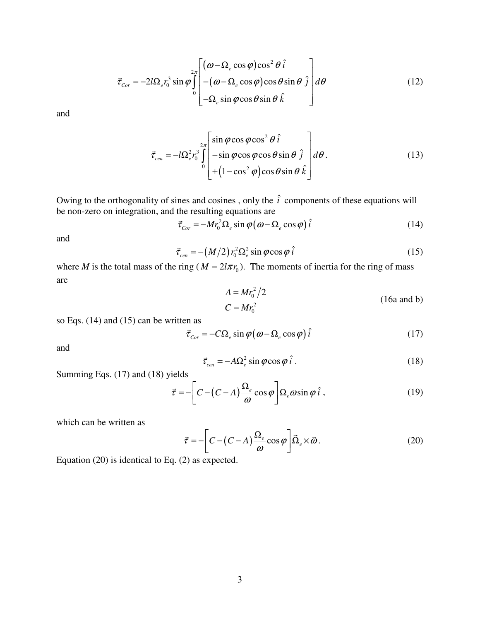$$
\vec{\tau}_{Cor} = -2l\Omega_e r_0^3 \sin \varphi \int_{0}^{2\pi} \left[ (\omega - \Omega_e \cos \varphi) \cos^2 \theta \hat{i} \right] d\theta
$$
\n
$$
- (\omega - \Omega_e \cos \varphi) \cos \theta \sin \theta \hat{j} \right] d\theta
$$
\n(12)

and

$$
\vec{\tau}_{cen} = -l\Omega_e^2 r_0^3 \int_0^{2\pi} \left[ \sin \varphi \cos \varphi \cos^2 \theta \hat{i} \right] + \left( 1 - \cos^2 \varphi \right) \cos \theta \sin \theta \hat{k} \right] d\theta.
$$
 (13)

Owing to the orthogonality of sines and cosines, only the  $\hat{i}$  components of these equations will be non-zero on integration, and the resulting equations are

$$
\vec{\tau}_{Cor} = -Mr_0^2 \Omega_e \sin \varphi (\omega - \Omega_e \cos \varphi) \hat{i}
$$
 (14)

and

$$
\vec{\tau}_{cen} = -(M/2) r_0^2 \Omega_e^2 \sin \varphi \cos \varphi \,\hat{i}
$$
\n(15)

where *M* is the total mass of the ring ( $M = 2l\pi r_0$ ). The moments of inertia for the ring of mass are  $2^{\prime}$ 

$$
A = Mr_0^2/2
$$
  
\n
$$
C = Mr_0^2
$$
\n(16a and b)

so Eqs. (14) and (15) can be written as

$$
\vec{\tau}_{Cor} = -C\Omega_e \sin \varphi (\omega - \Omega_e \cos \varphi) \hat{i}
$$
 (17)

and

$$
\vec{\tau}_{cen} = -A\Omega_e^2 \sin\varphi \cos\varphi \,\hat{i} \,. \tag{18}
$$

Summing Eqs. (17) and (18) yields

$$
\vec{\tau} = -\left[C - (C - A)\frac{\Omega_e}{\omega}\cos\varphi\right] \Omega_e \omega \sin\varphi \,\hat{i} \,, \tag{19}
$$

which can be written as

$$
\vec{\tau} = -\left[C - (C - A)\frac{\Omega_e}{\omega}\cos\varphi\right]\vec{\Omega}_e \times \vec{\omega}.
$$
 (20)

Equation (20) is identical to Eq. (2) as expected.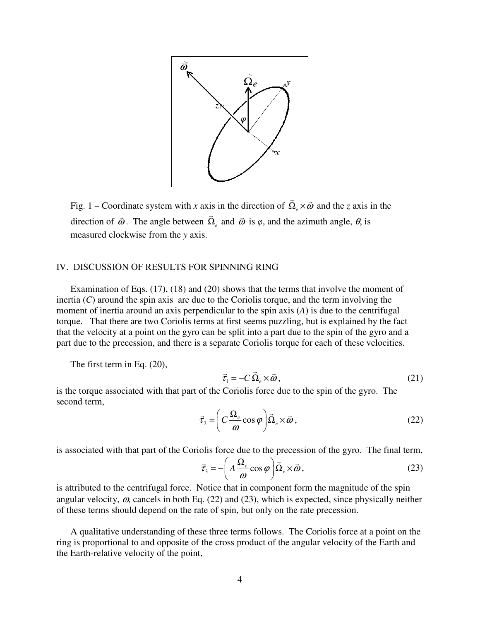

Fig. 1 – Coordinate system with *x* axis in the direction of  $\vec{\Omega}$ <sub>e</sub>  $\times \vec{\omega}$  and the *z* axis in the direction of  $\vec{\omega}$ . The angle between  $\vec{\Omega}_e$  and  $\vec{\omega}$  is  $\varphi$ , and the azimuth angle,  $\theta$ , is measured clockwise from the *y* axis.

### IV. DISCUSSION OF RESULTS FOR SPINNING RING

Examination of Eqs. (17), (18) and (20) shows that the terms that involve the moment of inertia (*C*) around the spin axis are due to the Coriolis torque, and the term involving the moment of inertia around an axis perpendicular to the spin axis (*A*) is due to the centrifugal torque. That there are two Coriolis terms at first seems puzzling, but is explained by the fact that the velocity at a point on the gyro can be split into a part due to the spin of the gyro and a part due to the precession, and there is a separate Coriolis torque for each of these velocities.

The first term in Eq. (20),

$$
\vec{\tau}_1 = -C\,\vec{\Omega}_e \times \vec{\omega}\,,\tag{21}
$$

is the torque associated with that part of the Coriolis force due to the spin of the gyro. The second term,

$$
\vec{\tau}_2 = \left( C \frac{\Omega_e}{\omega} \cos \varphi \right) \vec{\Omega}_e \times \vec{\omega},\tag{22}
$$

is associated with that part of the Coriolis force due to the precession of the gyro. The final term,

$$
\vec{\tau}_3 = -\left(A\frac{\Omega_e}{\omega}\cos\varphi\right)\vec{\Omega}_e \times \vec{\omega},\tag{23}
$$

is attributed to the centrifugal force. Notice that in component form the magnitude of the spin angular velocity,  $\omega$ , cancels in both Eq. (22) and (23), which is expected, since physically neither of these terms should depend on the rate of spin, but only on the rate precession.

A qualitative understanding of these three terms follows. The Coriolis force at a point on the ring is proportional to and opposite of the cross product of the angular velocity of the Earth and the Earth-relative velocity of the point,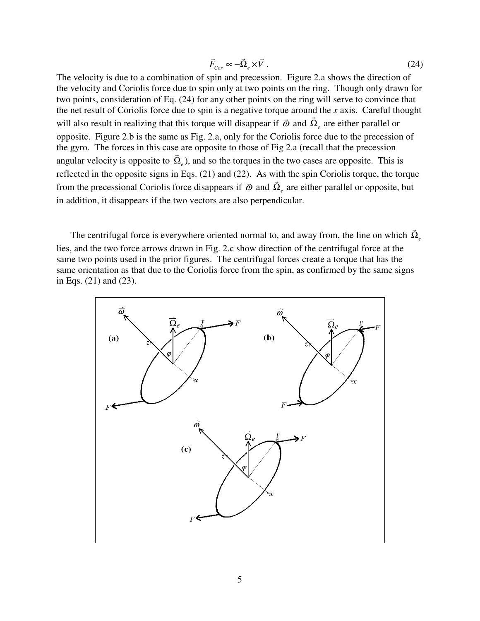$$
\vec{F}_{Cor} \propto -\vec{\Omega}_e \times \vec{V} \,. \tag{24}
$$

The velocity is due to a combination of spin and precession. Figure 2.a shows the direction of the velocity and Coriolis force due to spin only at two points on the ring. Though only drawn for two points, consideration of Eq. (24) for any other points on the ring will serve to convince that the net result of Coriolis force due to spin is a negative torque around the *x* axis. Careful thought will also result in realizing that this torque will disappear if  $\vec{\omega}$  and  $\vec{\Omega}_e$  are either parallel or opposite. Figure 2.b is the same as Fig. 2.a, only for the Coriolis force due to the precession of the gyro. The forces in this case are opposite to those of Fig 2.a (recall that the precession angular velocity is opposite to  $\vec{\Omega}_e$ ), and so the torques in the two cases are opposite. This is reflected in the opposite signs in Eqs. (21) and (22). As with the spin Coriolis torque, the torque from the precessional Coriolis force disappears if  $\vec{\omega}$  and  $\vec{\Omega}_e$  are either parallel or opposite, but in addition, it disappears if the two vectors are also perpendicular.

The centrifugal force is everywhere oriented normal to, and away from, the line on which  $\vec{\Omega}_e$ lies, and the two force arrows drawn in Fig. 2.c show direction of the centrifugal force at the same two points used in the prior figures. The centrifugal forces create a torque that has the same orientation as that due to the Coriolis force from the spin, as confirmed by the same signs in Eqs. (21) and (23).

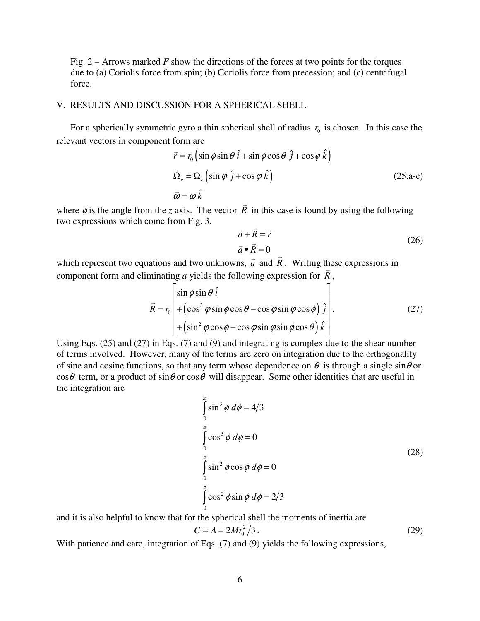Fig. 2 – Arrows marked *F* show the directions of the forces at two points for the torques due to (a) Coriolis force from spin; (b) Coriolis force from precession; and (c) centrifugal force.

## V. RESULTS AND DISCUSSION FOR A SPHERICAL SHELL

For a spherically symmetric gyro a thin spherical shell of radius  $r_0$  is chosen. In this case the relevant vectors in component form are

$$
\vec{r} = r_0 \left( \sin \phi \sin \theta \hat{i} + \sin \phi \cos \theta \hat{j} + \cos \phi \hat{k} \right)
$$
  
\n
$$
\vec{\Omega}_e = \Omega_e \left( \sin \phi \hat{j} + \cos \phi \hat{k} \right)
$$
  
\n
$$
\vec{\omega} = \omega \hat{k}
$$
\n(25.a-c)

where  $\phi$  is the angle from the *z* axis. The vector  $\vec{R}$  in this case is found by using the following two expressions which come from Fig. 3,

$$
\vec{a} + \vec{R} = \vec{r}
$$
  
\n
$$
\vec{a} \cdot \vec{R} = 0
$$
\n(26)

which represent two equations and two unknowns,  $\vec{a}$  and  $\vec{R}$ . Writing these expressions in component form and eliminating *a* yields the following expression for  $\vec{R}$ ,

$$
\vec{R} = r_0 \begin{bmatrix} \sin \phi \sin \theta & \hat{i} \\ +(\cos^2 \phi \sin \phi \cos \theta - \cos \phi \sin \phi \cos \phi) & \hat{j} \\ +(\sin^2 \phi \cos \phi - \cos \phi \sin \phi \sin \phi \cos \theta) & \hat{k} \end{bmatrix} .
$$
 (27)

Using Eqs. (25) and (27) in Eqs. (7) and (9) and integrating is complex due to the shear number of terms involved. However, many of the terms are zero on integration due to the orthogonality of sine and cosine functions, so that any term whose dependence on  $\theta$  is through a single sin $\theta$  or  $\cos\theta$  term, or a product of  $\sin\theta$  or  $\cos\theta$  will disappear. Some other identities that are useful in the integration are

$$
\int_{0}^{\pi} \sin^{3} \phi \, d\phi = 4/3
$$
\n
$$
\int_{0}^{\pi} \cos^{3} \phi \, d\phi = 0
$$
\n
$$
\int_{0}^{\pi} \sin^{2} \phi \cos \phi \, d\phi = 0
$$
\n
$$
\int_{0}^{\pi} \cos^{2} \phi \sin \phi \, d\phi = 2/3
$$
\n(28)

and it is also helpful to know that for the spherical shell the moments of inertia are

$$
C = A = 2Mr_0^2/3.
$$
 (29)

With patience and care, integration of Eqs. (7) and (9) yields the following expressions,